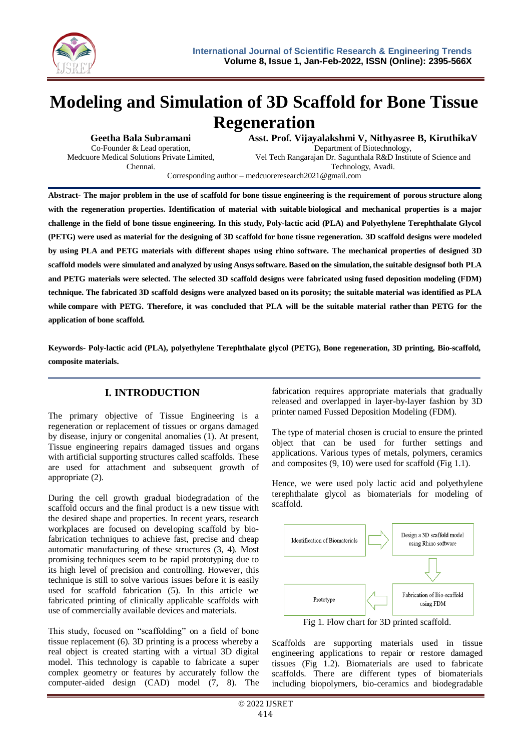

# **Modeling and Simulation of 3D Scaffold for Bone Tissue Regeneration**

**Geetha Bala Subramani** Co-Founder & Lead operation, Medcuore Medical Solutions Private Limited, Chennai.

**Asst. Prof. Vijayalakshmi V, Nithyasree B, KiruthikaV** Department of Biotechnology, Vel Tech Rangarajan Dr. Sagunthala R&D Institute of Science and Technology, Avadi.

Corresponding author – medcuoreresearch2021@gmail.com

**Abstract- The major problem in the use of scaffold for bone tissue engineering is the requirement of porous structure along** with the regeneration properties. Identification of material with suitable biological and mechanical properties is a major **challenge in the field of bone tissue engineering. In this study, Poly-lactic acid (PLA) and Polyethylene Terephthalate Glycol (PETG) were used as material for the designing of 3D scaffold for bone tissue regeneration. 3D scaffold designs were modeled by using PLA and PETG materials with different shapes using rhino software. The mechanical properties of designed 3D scaffold models were simulated and analyzed by using Ansyssoftware. Based on the simulation,the suitable designsof both PLA and PETG materials were selected. The selected 3D scaffold designs were fabricated using fused deposition modeling (FDM) technique. The fabricated 3D scaffold designs were analyzed based on its porosity; the suitable material was identified as PLA** while compare with PETG. Therefore, it was concluded that PLA will be the suitable material rather than PETG for the **application of bone scaffold.**

**Keywords- Poly-lactic acid (PLA), polyethylene Terephthalate glycol (PETG), Bone regeneration, 3D printing, Bio-scaffold, composite materials.**

# **I. INTRODUCTION**

The primary objective of Tissue Engineering is a regeneration or replacement of tissues or organs damaged by disease, injury or congenital anomalies (1). At present, Tissue engineering repairs damaged tissues and organs with artificial supporting structures called scaffolds. These are used for attachment and subsequent growth of appropriate (2).

During the cell growth gradual biodegradation of the scaffold occurs and the final product is a new tissue with the desired shape and properties. In recent years, research workplaces are focused on developing scaffold by biofabrication techniques to achieve fast, precise and cheap automatic manufacturing of these structures (3, 4). Most promising techniques seem to be rapid prototyping due to its high level of precision and controlling. However, this technique is still to solve various issues before it is easily used for scaffold fabrication (5). In this article we fabricated printing of clinically applicable scaffolds with use of commercially available devices and materials.

This study, focused on "scaffolding" on a field of bone tissue replacement (6). 3D printing is a process whereby a real object is created starting with a virtual 3D digital model. This technology is capable to fabricate a super complex geometry or features by accurately follow the computer-aided design (CAD) model (7, 8). The

fabrication requires appropriate materials that gradually released and overlapped in layer-by-layer fashion by 3D printer named Fussed Deposition Modeling (FDM).

The type of material chosen is crucial to ensure the printed object that can be used for further settings and applications. Various types of metals, polymers, ceramics and composites (9, 10) were used for scaffold (Fig 1.1).

Hence, we were used poly lactic acid and polyethylene terephthalate glycol as biomaterials for modeling of scaffold.



Scaffolds are supporting materials used in tissue engineering applications to repair or restore damaged tissues (Fig 1.2). Biomaterials are used to fabricate scaffolds. There are different types of biomaterials including biopolymers, bio-ceramics and biodegradable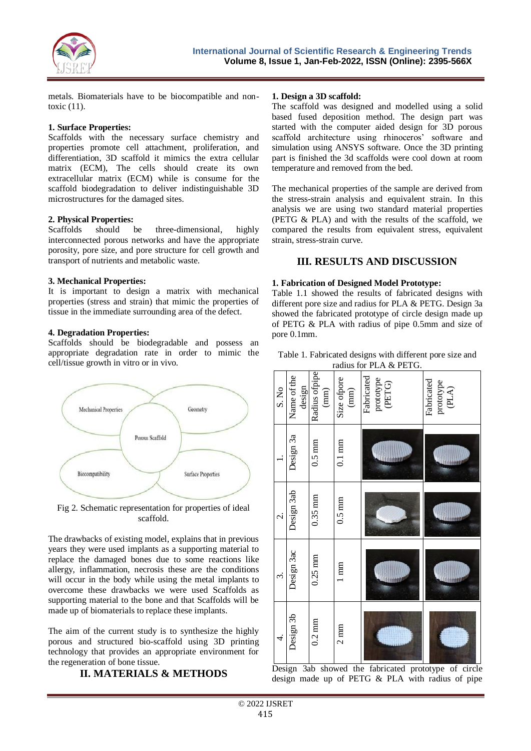

metals. Biomaterials have to be biocompatible and nontoxic (11).

## **1. Surface Properties:**

Scaffolds with the necessary surface chemistry and properties promote cell attachment, proliferation, and differentiation, 3D scaffold it mimics the extra cellular matrix (ECM), The cells should create its own extracellular matrix (ECM) while is consume for the scaffold biodegradation to deliver indistinguishable 3D microstructures for the damaged sites.

## **2. Physical Properties:**

Scaffolds should be three-dimensional, highly interconnected porous networks and have the appropriate porosity, pore size, and pore structure for cell growth and transport of nutrients and metabolic waste.

#### **3. Mechanical Properties:**

It is important to design a matrix with mechanical properties (stress and strain) that mimic the properties of tissue in the immediate surrounding area of the defect.

## **4. Degradation Properties:**

Scaffolds should be biodegradable and possess an appropriate degradation rate in order to mimic the cell/tissue growth in vitro or in vivo.



Fig 2. Schematic representation for properties of ideal scaffold.

The drawbacks of existing model, explains that in previous years they were used implants as a supporting material to replace the damaged bones due to some reactions like allergy, inflammation, necrosis these are the conditions will occur in the body while using the metal implants to overcome these drawbacks we were used Scaffolds as supporting material to the bone and that Scaffolds will be made up of biomaterials to replace these implants.

The aim of the current study is to synthesize the highly porous and structured bio-scaffold using 3D printing technology that provides an appropriate environment for the regeneration of bone tissue.

# **II. MATERIALS & METHODS**

## **1. Design a 3D scaffold:**

The scaffold was designed and modelled using a solid based fused deposition method. The design part was started with the computer aided design for 3D porous scaffold architecture using rhinoceros' software and simulation using ANSYS software. Once the 3D printing part is finished the 3d scaffolds were cool down at room temperature and removed from the bed.

The mechanical properties of the sample are derived from the stress-strain analysis and equivalent strain. In this analysis we are using two standard material properties (PETG & PLA) and with the results of the scaffold, we compared the results from equivalent stress, equivalent strain, stress-strain curve.

## **III. RESULTS AND DISCUSSION**

#### **1. Fabrication of Designed Model Prototype:**

Table 1.1 showed the results of fabricated designs with different pore size and radius for PLA & PETG. Design 3a showed the fabricated prototype of circle design made up of PETG & PLA with radius of pipe 0.5mm and size of pore 0.1mm.

| Table 1. Fabricated designs with different pore size and |  |  |
|----------------------------------------------------------|--|--|
| radius for PLA & PETG.                                   |  |  |

| 4.               | 3.           | $\overline{\mathcal{C}}$ |                  | S. No                                  |
|------------------|--------------|--------------------------|------------------|----------------------------------------|
| Design 3b        | Design 3ac   | Design 3ab               | Design 3a        | Name of the<br>design                  |
| $0.2 \text{ mm}$ | $0.25$ mm    | $0.35$ mm                | $0.5 \text{ mm}$ | Radius ofpipe<br>$\left( \min \right)$ |
| $2 \text{ mm}$   | $\mathbb{R}$ | $0.5 \text{ mm}$         | $0.1 \text{ mm}$ | Size ofpore<br>$\left( \min \right)$   |
|                  |              |                          |                  | Fabricated<br>prototype<br>(PETG)      |
|                  |              |                          |                  | Fabricated<br>prototype<br>$(PLA)$     |

Design 3ab showed the fabricated prototype of circle design made up of PETG & PLA with radius of pipe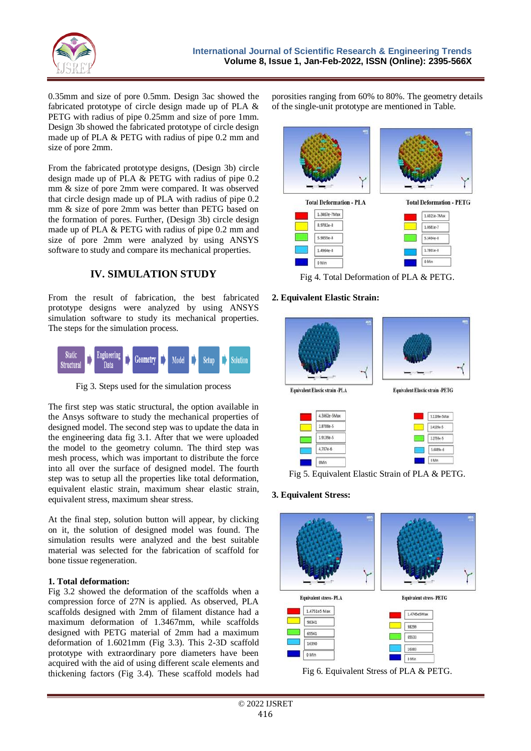

0.35mm and size of pore 0.5mm. Design 3ac showed the fabricated prototype of circle design made up of PLA & PETG with radius of pipe 0.25mm and size of pore 1mm. Design 3b showed the fabricated prototype of circle design made up of PLA & PETG with radius of pipe 0.2 mm and size of pore 2mm.

From the fabricated prototype designs, (Design 3b) circle design made up of PLA & PETG with radius of pipe 0.2 mm & size of pore 2mm were compared. It was observed that circle design made up of PLA with radius of pipe 0.2 mm & size of pore 2mm was better than PETG based on the formation of pores. Further, (Design 3b) circle design made up of PLA & PETG with radius of pipe 0.2 mm and size of pore 2mm were analyzed by using ANSYS software to study and compare its mechanical properties.

# **IV. SIMULATION STUDY**

From the result of fabrication, the best fabricated prototype designs were analyzed by using ANSYS simulation software to study its mechanical properties. The steps for the simulation process.



Fig 3. Steps used for the simulation process

The first step was static structural, the option available in the Ansys software to study the mechanical properties of designed model. The second step was to update the data in the engineering data fig 3.1. After that we were uploaded the model to the geometry column. The third step was mesh process, which was important to distribute the force into all over the surface of designed model. The fourth step was to setup all the properties like total deformation, equivalent elastic strain, maximum shear elastic strain, equivalent stress, maximum shear stress.

At the final step, solution button will appear, by clicking on it, the solution of designed model was found. The simulation results were analyzed and the best suitable material was selected for the fabrication of scaffold for bone tissue regeneration.

## **1. Total deformation:**

Fig 3.2 showed the deformation of the scaffolds when a compression force of 27N is applied. As observed, PLA scaffolds designed with 2mm of filament distance had a maximum deformation of 1.3467mm, while scaffolds designed with PETG material of 2mm had a maximum deformation of 1.6021mm (Fig 3.3). This 2-3D scaffold prototype with extraordinary pore diameters have been acquired with the aid of using different scale elements and thickening factors (Fig 3.4). These scaffold models had

porosities ranging from 60% to 80%. The geometry details of the single-unit prototype are mentioned in Table.



Fig 4. Total Deformation of PLA & PETG.

## **2. Equivalent Elastic Strain:**



Fig 5. Equivalent Elastic Strain of PLA & PETG.

## **3. Equivalent Stress:**



Fig 6. Equivalent Stress of PLA & PETG.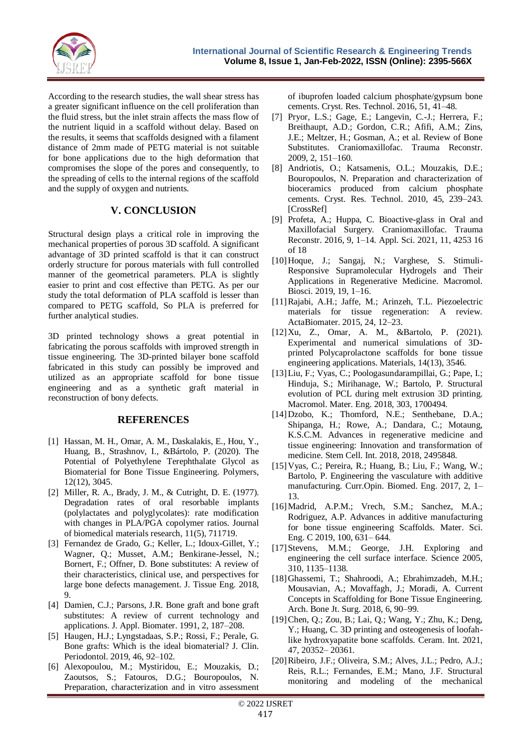

According to the research studies, the wall shear stress has a greater significant influence on the cell proliferation than the fluid stress, but the inlet strain affects the mass flow of the nutrient liquid in a scaffold without delay. Based on the results, it seems that scaffolds designed with a filament distance of 2mm made of PETG material is not suitable for bone applications due to the high deformation that compromises the slope of the pores and consequently, to the spreading of cells to the internal regions of the scaffold and the supply of oxygen and nutrients.

# **V. CONCLUSION**

Structural design plays a critical role in improving the mechanical properties of porous 3D scaffold. A significant advantage of 3D printed scaffold is that it can construct orderly structure for porous materials with full controlled manner of the geometrical parameters. PLA is slightly easier to print and cost effective than PETG. As per our study the total deformation of PLA scaffold is lesser than compared to PETG scaffold, So PLA is preferred for further analytical studies.

3D printed technology shows a great potential in fabricating the porous scaffolds with improved strength in tissue engineering. The 3D-printed bilayer bone scaffold fabricated in this study can possibly be improved and utilized as an appropriate scaffold for bone tissue engineering and as a synthetic graft material in reconstruction of bony defects.

## **REFERENCES**

- [1] Hassan, M. H., Omar, A. M., Daskalakis, E., Hou, Y., Huang, B., Strashnov, I., &Bártolo, P. (2020). The Potential of Polyethylene Terephthalate Glycol as Biomaterial for Bone Tissue Engineering. Polymers, 12(12), 3045.
- [2] Miller, R. A., Brady, J. M., & Cutright, D. E. (1977). Degradation rates of oral resorbable implants (polylactates and polyglycolates): rate modification with changes in PLA/PGA copolymer ratios. Journal of biomedical materials research, 11(5), 711719.
- [3] Fernandez de Grado, G.; Keller, L.; Idoux-Gillet, Y.; Wagner, Q.; Musset, A.M.; Benkirane-Jessel, N.; Bornert, F.; Offner, D. Bone substitutes: A review of their characteristics, clinical use, and perspectives for large bone defects management. J. Tissue Eng. 2018, 9.
- [4] Damien, C.J.; Parsons, J.R. Bone graft and bone graft substitutes: A review of current technology and applications. J. Appl. Biomater. 1991, 2, 187–208.
- [5] Haugen, H.J.; Lyngstadaas, S.P.; Rossi, F.; Perale, G. Bone grafts: Which is the ideal biomaterial? J. Clin. Periodontol. 2019, 46, 92–102.
- [6] Alexopoulou, M.; Mystiridou, E.; Mouzakis, D.; Zaoutsos, S.; Fatouros, D.G.; Bouropoulos, N. Preparation, characterization and in vitro assessment

of ibuprofen loaded calcium phosphate/gypsum bone cements. Cryst. Res. Technol. 2016, 51, 41–48.

- [7] Pryor, L.S.; Gage, E.; Langevin, C.-J.; Herrera, F.; Breithaupt, A.D.; Gordon, C.R.; Afifi, A.M.; Zins, J.E.; Meltzer, H.; Gosman, A.; et al. Review of Bone Substitutes. Craniomaxillofac. Trauma Reconstr. 2009, 2, 151–160.
- [8] Andriotis, O.; Katsamenis, O.L.; Mouzakis, D.E.; Bouropoulos, N. Preparation and characterization of bioceramics produced from calcium phosphate cements. Cryst. Res. Technol. 2010, 45, 239–243. [CrossRef]
- [9] Profeta, A.; Huppa, C. Bioactive-glass in Oral and Maxillofacial Surgery. Craniomaxillofac. Trauma Reconstr. 2016, 9, 1–14. Appl. Sci. 2021, 11, 4253 16 of 18
- [10]Hoque, J.; Sangaj, N.; Varghese, S. Stimuli-Responsive Supramolecular Hydrogels and Their Applications in Regenerative Medicine. Macromol. Biosci. 2019, 19, 1–16.
- [11]Rajabi, A.H.; Jaffe, M.; Arinzeh, T.L. Piezoelectric materials for tissue regeneration: A review. ActaBiomater. 2015, 24, 12–23.
- [12]Xu, Z., Omar, A. M., &Bartolo, P. (2021). Experimental and numerical simulations of 3Dprinted Polycaprolactone scaffolds for bone tissue engineering applications. Materials, 14(13), 3546.
- [13]Liu, F.; Vyas, C.; Poologasundarampillai, G.; Pape, I.; Hinduja, S.; Mirihanage, W.; Bartolo, P. Structural evolution of PCL during melt extrusion 3D printing. Macromol. Mater. Eng. 2018, 303, 1700494.
- [14]Dzobo, K.; Thomford, N.E.; Senthebane, D.A.; Shipanga, H.; Rowe, A.; Dandara, C.; Motaung, K.S.C.M. Advances in regenerative medicine and tissue engineering: Innovation and transformation of medicine. Stem Cell. Int. 2018, 2018, 2495848.
- [15]Vyas, C.; Pereira, R.; Huang, B.; Liu, F.; Wang, W.; Bartolo, P. Engineering the vasculature with additive manufacturing. Curr.Opin. Biomed. Eng. 2017, 2, 1– 13.
- [16]Madrid, A.P.M.; Vrech, S.M.; Sanchez, M.A.; Rodriguez, A.P. Advances in additive manufacturing for bone tissue engineering Scaffolds. Mater. Sci. Eng. C 2019, 100, 631– 644.
- [17]Stevens, M.M.; George, J.H. Exploring and engineering the cell surface interface. Science 2005, 310, 1135–1138.
- [18]Ghassemi, T.; Shahroodi, A.; Ebrahimzadeh, M.H.; Mousavian, A.; Movaffagh, J.; Moradi, A. Current Concepts in Scaffolding for Bone Tissue Engineering. Arch. Bone Jt. Surg. 2018, 6, 90–99.
- [19]Chen, Q.; Zou, B.; Lai, Q.; Wang, Y.; Zhu, K.; Deng, Y.; Huang, C. 3D printing and osteogenesis of loofahlike hydroxyapatite bone scaffolds. Ceram. Int. 2021, 47, 20352– 20361.
- [20]Ribeiro, J.F.; Oliveira, S.M.; Alves, J.L.; Pedro, A.J.; Reis, R.L.; Fernandes, E.M.; Mano, J.F. Structural monitoring and modeling of the mechanical